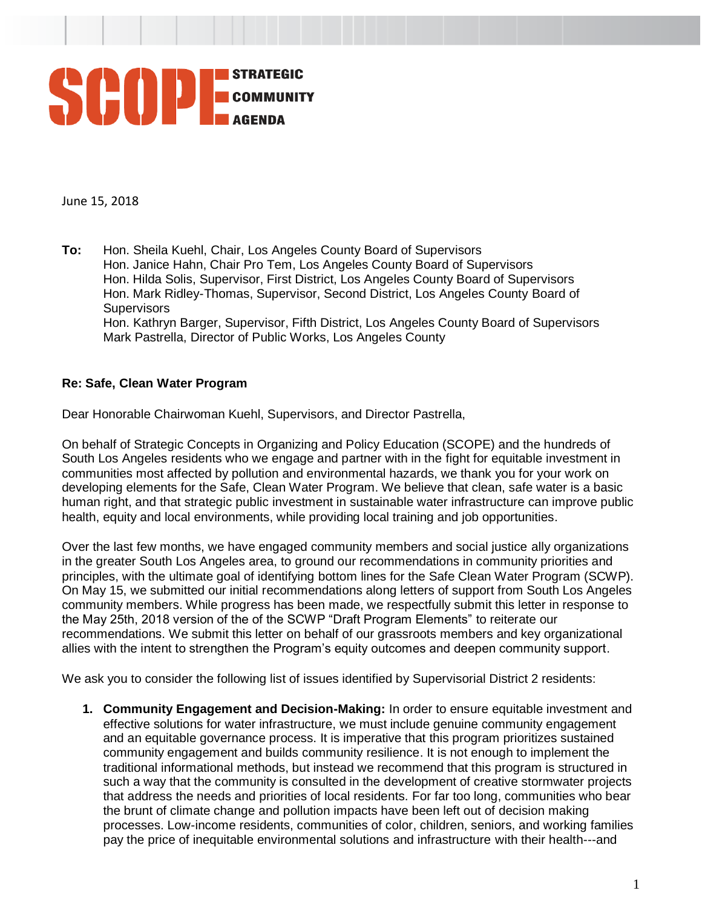

June 15, 2018

**To:** Hon. Sheila Kuehl, Chair, Los Angeles County Board of Supervisors Hon. Janice Hahn, Chair Pro Tem, Los Angeles County Board of Supervisors Hon. Hilda Solis, Supervisor, First District, Los Angeles County Board of Supervisors Hon. Mark Ridley-Thomas, Supervisor, Second District, Los Angeles County Board of **Supervisors** Hon. Kathryn Barger, Supervisor, Fifth District, Los Angeles County Board of Supervisors Mark Pastrella, Director of Public Works, Los Angeles County

## **Re: Safe, Clean Water Program**

Dear Honorable Chairwoman Kuehl, Supervisors, and Director Pastrella,

On behalf of Strategic Concepts in Organizing and Policy Education (SCOPE) and the hundreds of South Los Angeles residents who we engage and partner with in the fight for equitable investment in communities most affected by pollution and environmental hazards, we thank you for your work on developing elements for the Safe, Clean Water Program. We believe that clean, safe water is a basic human right, and that strategic public investment in sustainable water infrastructure can improve public health, equity and local environments, while providing local training and job opportunities.

Over the last few months, we have engaged community members and social justice ally organizations in the greater South Los Angeles area, to ground our recommendations in community priorities and principles, with the ultimate goal of identifying bottom lines for the Safe Clean Water Program (SCWP). On May 15, we submitted our initial recommendations along letters of support from South Los Angeles community members. While progress has been made, we respectfully submit this letter in response to the May 25th, 2018 version of the of the SCWP "Draft Program Elements" to reiterate our recommendations. We submit this letter on behalf of our grassroots members and key organizational allies with the intent to strengthen the Program's equity outcomes and deepen community support.

We ask you to consider the following list of issues identified by Supervisorial District 2 residents:

**1. Community Engagement and Decision-Making:** In order to ensure equitable investment and effective solutions for water infrastructure, we must include genuine community engagement and an equitable governance process. It is imperative that this program prioritizes sustained community engagement and builds community resilience. It is not enough to implement the traditional informational methods, but instead we recommend that this program is structured in such a way that the community is consulted in the development of creative stormwater projects that address the needs and priorities of local residents. For far too long, communities who bear the brunt of climate change and pollution impacts have been left out of decision making processes. Low-income residents, communities of color, children, seniors, and working families pay the price of inequitable environmental solutions and infrastructure with their health---and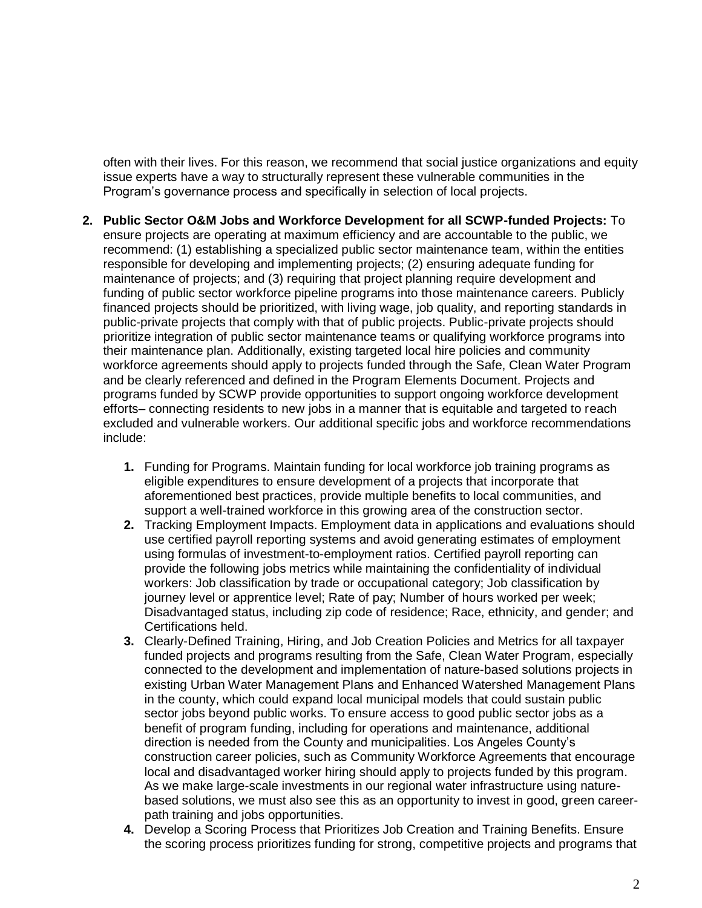often with their lives. For this reason, we recommend that social justice organizations and equity issue experts have a way to structurally represent these vulnerable communities in the Program's governance process and specifically in selection of local projects.

- **2. Public Sector O&M Jobs and Workforce Development for all SCWP-funded Projects:** To ensure projects are operating at maximum efficiency and are accountable to the public, we recommend: (1) establishing a specialized public sector maintenance team, within the entities responsible for developing and implementing projects; (2) ensuring adequate funding for maintenance of projects; and (3) requiring that project planning require development and funding of public sector workforce pipeline programs into those maintenance careers. Publicly financed projects should be prioritized, with living wage, job quality, and reporting standards in public-private projects that comply with that of public projects. Public-private projects should prioritize integration of public sector maintenance teams or qualifying workforce programs into their maintenance plan. Additionally, existing targeted local hire policies and community workforce agreements should apply to projects funded through the Safe, Clean Water Program and be clearly referenced and defined in the Program Elements Document. Projects and programs funded by SCWP provide opportunities to support ongoing workforce development efforts– connecting residents to new jobs in a manner that is equitable and targeted to reach excluded and vulnerable workers. Our additional specific jobs and workforce recommendations include:
	- **1.** Funding for Programs. Maintain funding for local workforce job training programs as eligible expenditures to ensure development of a projects that incorporate that aforementioned best practices, provide multiple benefits to local communities, and support a well-trained workforce in this growing area of the construction sector.
	- **2.** Tracking Employment Impacts. Employment data in applications and evaluations should use certified payroll reporting systems and avoid generating estimates of employment using formulas of investment-to-employment ratios. Certified payroll reporting can provide the following jobs metrics while maintaining the confidentiality of individual workers: Job classification by trade or occupational category; Job classification by journey level or apprentice level; Rate of pay; Number of hours worked per week; Disadvantaged status, including zip code of residence; Race, ethnicity, and gender; and Certifications held.
	- **3.** Clearly-Defined Training, Hiring, and Job Creation Policies and Metrics for all taxpayer funded projects and programs resulting from the Safe, Clean Water Program, especially connected to the development and implementation of nature-based solutions projects in existing Urban Water Management Plans and Enhanced Watershed Management Plans in the county, which could expand local municipal models that could sustain public sector jobs beyond public works. To ensure access to good public sector jobs as a benefit of program funding, including for operations and maintenance, additional direction is needed from the County and municipalities. Los Angeles County's construction career policies, such as Community Workforce Agreements that encourage local and disadvantaged worker hiring should apply to projects funded by this program. As we make large-scale investments in our regional water infrastructure using naturebased solutions, we must also see this as an opportunity to invest in good, green careerpath training and jobs opportunities.
	- **4.** Develop a Scoring Process that Prioritizes Job Creation and Training Benefits. Ensure the scoring process prioritizes funding for strong, competitive projects and programs that